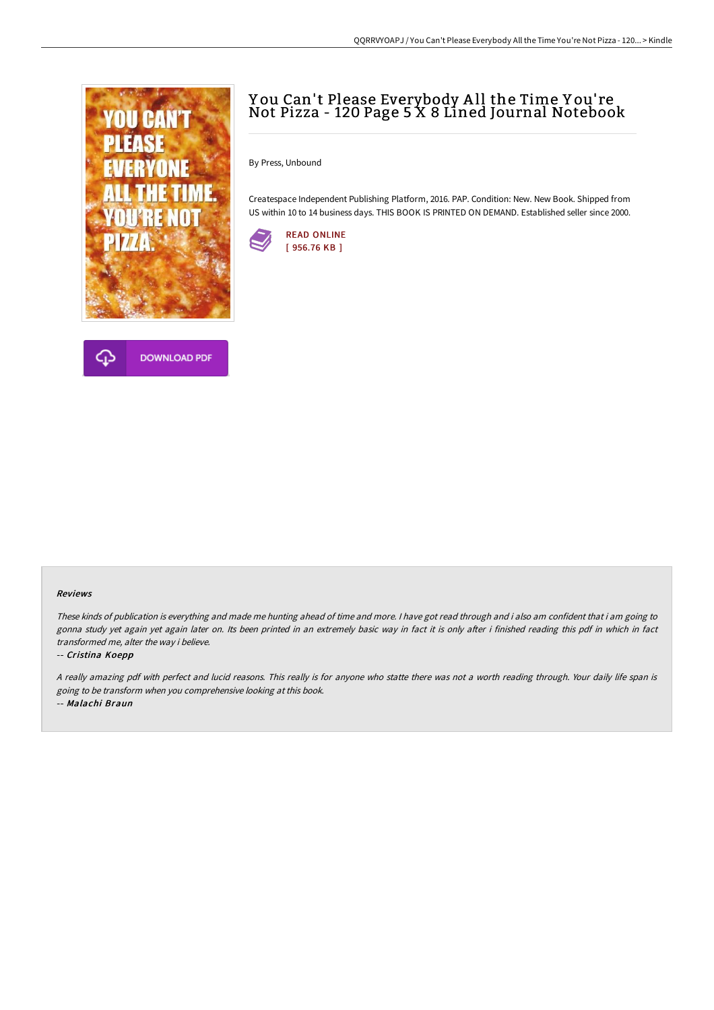



# Y ou Can't Please Everybody A ll the Time Y ou' re Not Pizza - 120 Page 5 X 8 Lined Journal Notebook

By Press, Unbound

Createspace Independent Publishing Platform, 2016. PAP. Condition: New. New Book. Shipped from US within 10 to 14 business days. THIS BOOK IS PRINTED ON DEMAND. Established seller since 2000.



#### Reviews

These kinds of publication is everything and made me hunting ahead of time and more. <sup>I</sup> have got read through and i also am confident that i am going to gonna study yet again yet again later on. Its been printed in an extremely basic way in fact it is only after i finished reading this pdf in which in fact transformed me, alter the way i believe.

#### -- Cristina Koepp

<sup>A</sup> really amazing pdf with perfect and lucid reasons. This really is for anyone who statte there was not <sup>a</sup> worth reading through. Your daily life span is going to be transform when you comprehensive looking at this book. -- Malachi Braun